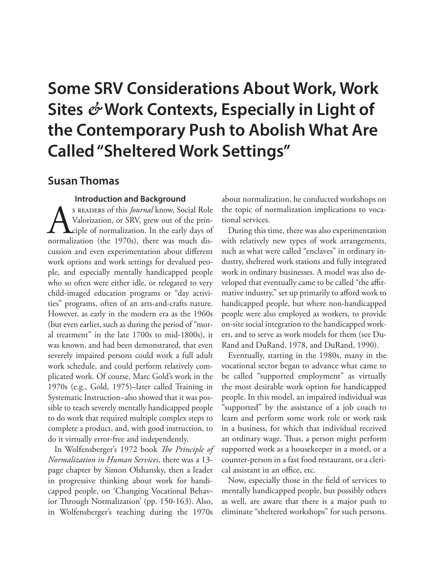# **Some SRV Considerations About Work, Work Sites** *&* **Work Contexts, Especially in Light of the Contemporary Push to Abolish What Are Called "Sheltered Work Settings"**

## **Susan Thomas**

## **Introduction and Background**

S READERS of this *Journal* know, Social Role<br>Valorization, or SRV, grew out of the prin-<br>ciple of normalization. In the early days of<br>normalization (the 1970s), there was much dis-Valorization, or SRV, grew out of the prin-**L**ciple of normalization. In the early days of normalization (the 1970s), there was much discussion and even experimentation about different work options and work settings for devalued people, and especially mentally handicapped people who so often were either idle, or relegated to very child-imaged education programs or "day activities" programs, often of an arts-and-crafts nature. However, as early in the modern era as the 1960s (but even earlier, such as during the period of "moral treatment" in the late 1700s to mid-1800s), it was known, and had been demonstrated, that even severely impaired persons could work a full adult work schedule, and could perform relatively complicated work. Of course, Marc Gold's work in the 1970s (e.g., Gold, 1975)–later called Training in Systematic Instruction–also showed that it was possible to teach severely mentally handicapped people to do work that required multiple complex steps to complete a product, and, with good instruction, to do it virtually error-free and independently.

In Wolfensberger's 1972 book *The Principle of Normalization in Human Services*, there was a 13 page chapter by Simon Olshansky, then a leader in progressive thinking about work for handicapped people, on 'Changing Vocational Behavior Through Normalization' (pp. 150-163). Also, in Wolfensberger's teaching during the 1970s

about normalization, he conducted workshops on the topic of normalization implications to vocational services.

During this time, there was also experimentation with relatively new types of work arrangements, such as what were called "enclaves" in ordinary industry, sheltered work stations and fully integrated work in ordinary businesses. A model was also developed that eventually came to be called "the affirmative industry," set up primarily to afford work to handicapped people, but where non-handicapped people were also employed as workers, to provide on-site social integration to the handicapped workers, and to serve as work models for them (see Du-Rand and DuRand, 1978, and DuRand, 1990).

Eventually, starting in the 1980s, many in the vocational sector began to advance what came to be called "supported employment" as virtually the most desirable work option for handicapped people. In this model, an impaired individual was "supported" by the assistance of a job coach to learn and perform some work role or work task in a business, for which that individual received an ordinary wage. Thus, a person might perform supported work as a housekeeper in a motel, or a counter-person in a fast food restaurant, or a clerical assistant in an office, etc.

Now, especially those in the field of services to mentally handicapped people, but possibly others as well, are aware that there is a major push to eliminate "sheltered workshops" for such persons.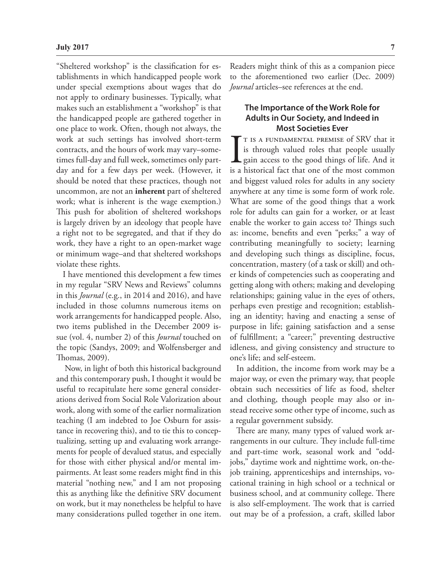"Sheltered workshop" is the classification for establishments in which handicapped people work under special exemptions about wages that do not apply to ordinary businesses. Typically, what makes such an establishment a "workshop" is that the handicapped people are gathered together in one place to work. Often, though not always, the work at such settings has involved short-term contracts, and the hours of work may vary–sometimes full-day and full week, sometimes only partday and for a few days per week. (However, it should be noted that these practices, though not uncommon, are not an **inherent** part of sheltered work; what is inherent is the wage exemption.) This push for abolition of sheltered workshops is largely driven by an ideology that people have a right not to be segregated, and that if they do work, they have a right to an open-market wage or minimum wage–and that sheltered workshops violate these rights.

I have mentioned this development a few times in my regular "SRV News and Reviews" columns in this *Journal* (e.g., in 2014 and 2016), and have included in those columns numerous items on work arrangements for handicapped people. Also, two items published in the December 2009 issue (vol. 4, number 2) of this *Journal* touched on the topic (Sandys, 2009; and Wolfensberger and Thomas, 2009).

 Now, in light of both this historical background and this contemporary push, I thought it would be useful to recapitulate here some general considerations derived from Social Role Valorization about work, along with some of the earlier normalization teaching (I am indebted to Joe Osburn for assistance in recovering this), and to tie this to conceptualizing, setting up and evaluating work arrangements for people of devalued status, and especially for those with either physical and/or mental impairments. At least some readers might find in this material "nothing new," and I am not proposing this as anything like the definitive SRV document on work, but it may nonetheless be helpful to have many considerations pulled together in one item.

Readers might think of this as a companion piece to the aforementioned two earlier (Dec. 2009) *Journal* articles–see references at the end.

## **The Importance of the Work Role for Adults in Our Society, and Indeed in Most Societies Ever**

 $\prod_{\text{is a}}$ T IS A FUNDAMENTAL PREMISE of SRV that it is through valued roles that people usually gain access to the good things of life. And it is a historical fact that one of the most common and biggest valued roles for adults in any society anywhere at any time is some form of work role. What are some of the good things that a work role for adults can gain for a worker, or at least enable the worker to gain access to? Things such as: income, benefits and even "perks;" a way of contributing meaningfully to society; learning and developing such things as discipline, focus, concentration, mastery (of a task or skill) and other kinds of competencies such as cooperating and getting along with others; making and developing relationships; gaining value in the eyes of others, perhaps even prestige and recognition; establishing an identity; having and enacting a sense of purpose in life; gaining satisfaction and a sense of fulfillment; a "career;" preventing destructive idleness, and giving consistency and structure to one's life; and self-esteem.

In addition, the income from work may be a major way, or even the primary way, that people obtain such necessities of life as food, shelter and clothing, though people may also or instead receive some other type of income, such as a regular government subsidy.

There are many, many types of valued work arrangements in our culture. They include full-time and part-time work, seasonal work and "oddjobs," daytime work and nighttime work, on-thejob training, apprenticeships and internships, vocational training in high school or a technical or business school, and at community college. There is also self-employment. The work that is carried out may be of a profession, a craft, skilled labor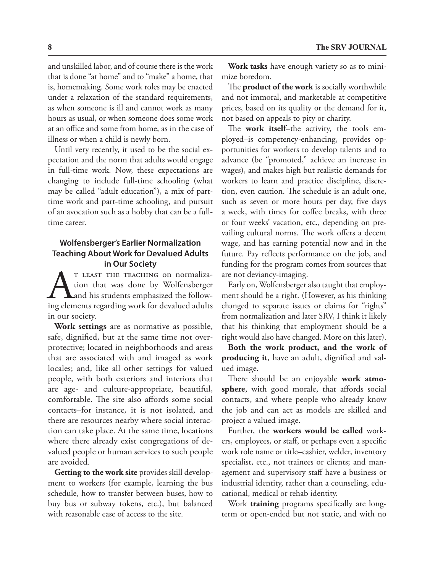and unskilled labor, and of course there is the work that is done "at home" and to "make" a home, that is, homemaking. Some work roles may be enacted under a relaxation of the standard requirements, as when someone is ill and cannot work as many hours as usual, or when someone does some work at an office and some from home, as in the case of illness or when a child is newly born.

Until very recently, it used to be the social expectation and the norm that adults would engage in full-time work. Now, these expectations are changing to include full-time schooling (what may be called "adult education"), a mix of parttime work and part-time schooling, and pursuit of an avocation such as a hobby that can be a fulltime career.

## **Wolfensberger's Earlier Normalization Teaching About Work for Devalued Adults in Our Society**

T LEAST THE TEACHING on normalization that was done by Wolfensberger<br>and his students emphasized the following elements regarding work for devalued adults tion that was done by Wolfensberger and his students emphasized the followin our society.

**Work settings** are as normative as possible, safe, dignified, but at the same time not overprotective; located in neighborhoods and areas that are associated with and imaged as work locales; and, like all other settings for valued people, with both exteriors and interiors that are age- and culture-appropriate, beautiful, comfortable. The site also affords some social contacts–for instance, it is not isolated, and there are resources nearby where social interaction can take place. At the same time, locations where there already exist congregations of devalued people or human services to such people are avoided.

**Getting to the work site** provides skill development to workers (for example, learning the bus schedule, how to transfer between buses, how to buy bus or subway tokens, etc.), but balanced with reasonable ease of access to the site.

**Work tasks** have enough variety so as to minimize boredom.

The **product of the work** is socially worthwhile and not immoral, and marketable at competitive prices, based on its quality or the demand for it, not based on appeals to pity or charity.

The **work itself**–the activity, the tools employed–is competency-enhancing, provides opportunities for workers to develop talents and to advance (be "promoted," achieve an increase in wages), and makes high but realistic demands for workers to learn and practice discipline, discretion, even caution. The schedule is an adult one, such as seven or more hours per day, five days a week, with times for coffee breaks, with three or four weeks' vacation, etc., depending on prevailing cultural norms. The work offers a decent wage, and has earning potential now and in the future. Pay reflects performance on the job, and funding for the program comes from sources that are not deviancy-imaging.

Early on, Wolfensberger also taught that employment should be a right. (However, as his thinking changed to separate issues or claims for "rights" from normalization and later SRV, I think it likely that his thinking that employment should be a right would also have changed. More on this later).

**Both the work product, and the work of producing it**, have an adult, dignified and valued image.

There should be an enjoyable **work atmosphere**, with good morale, that affords social contacts, and where people who already know the job and can act as models are skilled and project a valued image.

Further, the **workers would be called** workers, employees, or staff, or perhaps even a specific work role name or title–cashier, welder, inventory specialist, etc., not trainees or clients; and management and supervisory staff have a business or industrial identity, rather than a counseling, educational, medical or rehab identity.

Work **training** programs specifically are longterm or open-ended but not static, and with no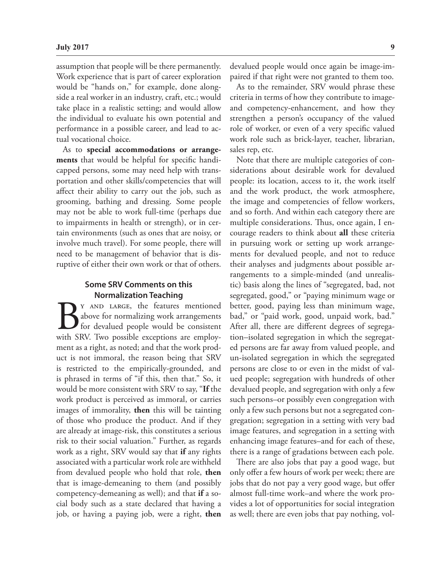assumption that people will be there permanently. Work experience that is part of career exploration would be "hands on," for example, done alongside a real worker in an industry, craft, etc.; would take place in a realistic setting; and would allow the individual to evaluate his own potential and performance in a possible career, and lead to actual vocational choice.

As to **special accommodations or arrangements** that would be helpful for specific handicapped persons, some may need help with transportation and other skills/competencies that will affect their ability to carry out the job, such as grooming, bathing and dressing. Some people may not be able to work full-time (perhaps due to impairments in health or strength), or in certain environments (such as ones that are noisy, or involve much travel). For some people, there will need to be management of behavior that is disruptive of either their own work or that of others.

### **Some SRV Comments on this Normalization Teaching**

Y AND LARGE, the features mentioned above for normalizing work arrangements for devalued people would be consistent with SRV. Two possible exceptions are employment as a right, as noted; and that the work product is not immoral, the reason being that SRV is restricted to the empirically-grounded, and is phrased in terms of "if this, then that." So, it would be more consistent with SRV to say, "**If** the work product is perceived as immoral, or carries images of immorality, **then** this will be tainting of those who produce the product. And if they are already at image-risk, this constitutes a serious risk to their social valuation." Further, as regards work as a right, SRV would say that **if** any rights associated with a particular work role are withheld from devalued people who hold that role, **then** that is image-demeaning to them (and possibly competency-demeaning as well); and that **if** a social body such as a state declared that having a job, or having a paying job, were a right, **then** devalued people would once again be image-impaired if that right were not granted to them too.

As to the remainder, SRV would phrase these criteria in terms of how they contribute to imageand competency-enhancement, and how they strengthen a person's occupancy of the valued role of worker, or even of a very specific valued work role such as brick-layer, teacher, librarian, sales rep, etc.

Note that there are multiple categories of considerations about desirable work for devalued people: its location, access to it, the work itself and the work product, the work atmosphere, the image and competencies of fellow workers, and so forth. And within each category there are multiple considerations. Thus, once again, I encourage readers to think about **all** these criteria in pursuing work or setting up work arrangements for devalued people, and not to reduce their analyses and judgments about possible arrangements to a simple-minded (and unrealistic) basis along the lines of "segregated, bad, not segregated, good," or "paying minimum wage or better, good, paying less than minimum wage, bad," or "paid work, good, unpaid work, bad." After all, there are different degrees of segregation–isolated segregation in which the segregated persons are far away from valued people, and un-isolated segregation in which the segregated persons are close to or even in the midst of valued people; segregation with hundreds of other devalued people, and segregation with only a few such persons–or possibly even congregation with only a few such persons but not a segregated congregation; segregation in a setting with very bad image features, and segregation in a setting with enhancing image features–and for each of these, there is a range of gradations between each pole.

There are also jobs that pay a good wage, but only offer a few hours of work per week; there are jobs that do not pay a very good wage, but offer almost full-time work–and where the work provides a lot of opportunities for social integration as well; there are even jobs that pay nothing, vol-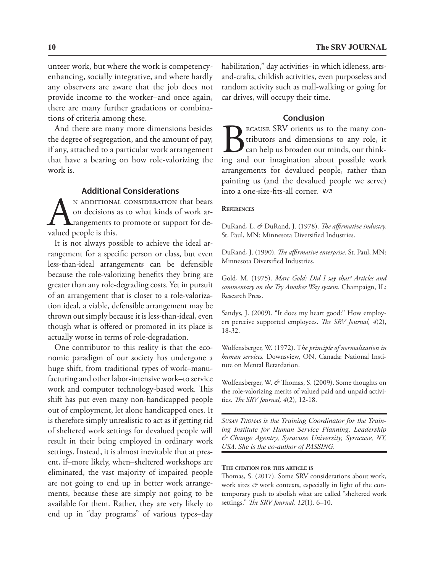unteer work, but where the work is competencyenhancing, socially integrative, and where hardly any observers are aware that the job does not provide income to the worker–and once again, there are many further gradations or combinations of criteria among these.

And there are many more dimensions besides the degree of segregation, and the amount of pay, if any, attached to a particular work arrangement that have a bearing on how role-valorizing the work is.

## **Additional Considerations**

N ADDITIONAL CONSIDERATION that bears<br>on decisions as to what kinds of work arrangements to promote or support for devalued people is this. on decisions as to what kinds of work arrangements to promote or support for devalued people is this.

It is not always possible to achieve the ideal arrangement for a specific person or class, but even less-than-ideal arrangements can be defensible because the role-valorizing benefits they bring are greater than any role-degrading costs. Yet in pursuit of an arrangement that is closer to a role-valorization ideal, a viable, defensible arrangement may be thrown out simply because it is less-than-ideal, even though what is offered or promoted in its place is actually worse in terms of role-degradation.

One contributor to this reality is that the economic paradigm of our society has undergone a huge shift, from traditional types of work–manufacturing and other labor-intensive work–to service work and computer technology-based work. This shift has put even many non-handicapped people out of employment, let alone handicapped ones. It is therefore simply unrealistic to act as if getting rid of sheltered work settings for devalued people will result in their being employed in ordinary work settings. Instead, it is almost inevitable that at present, if–more likely, when–sheltered workshops are eliminated, the vast majority of impaired people are not going to end up in better work arrangements, because these are simply not going to be available for them. Rather, they are very likely to end up in "day programs" of various types–day

habilitation," day activities–in which idleness, artsand-crafts, childish activities, even purposeless and random activity such as mall-walking or going for car drives, will occupy their time.

#### **Conclusion**

Because SRV orients us to the many contributors and dimensions to any role, it can help us broaden our minds, our thinking and our imagination about possible work arrangements for devalued people, rather than painting us (and the devalued people we serve) into a one-size-fits-all corner.  $\infty$ 

#### **References**

DuRand, L. *&* DuRand, J. (1978). *The affirmative industry.* St. Paul, MN: Minnesota Diversified Industries.

DuRand, J. (1990). *The affirmative enterprise*. St. Paul, MN: Minnesota Diversified Industries.

Gold, M. (1975). *Marc Gold: Did I say that? Articles and commentary on the Try Another Way system.* Champaign, IL: Research Press.

Sandys, J. (2009). "It does my heart good:" How employers perceive supported employees. *The SRV Journal, 4*(2), 18-32.

Wolfensberger, W. (1972). T*he principle of normalization in human services.* Downsview, ON, Canada: National Institute on Mental Retardation.

Wolfensberger, W. *&* Thomas, S. (2009). Some thoughts on the role-valorizing merits of valued paid and unpaid activities. *The SRV Journal, 4*(2), 12-18.

*Susan Thomas is the Training Coordinator for the Training Institute for Human Service Planning, Leadership & Change Agentry, Syracuse University, Syracuse, NY, USA. She is the co-author of PASSING.*

#### **The citation for this article is**

Thomas, S. (2017). Some SRV considerations about work, work sites  $\mathcal O$  work contexts, especially in light of the contemporary push to abolish what are called "sheltered work settings." *The SRV Journal, 12*(1)*,* 6–10.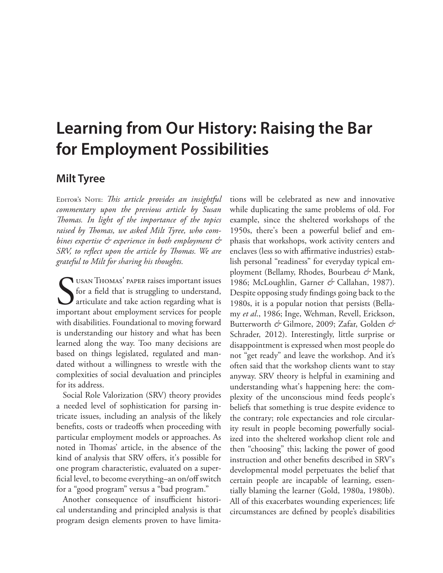# **Learning from Our History: Raising the Bar for Employment Possibilities**

## **Milt Tyree**

EDITOR'S NOTE: This article provides an insightful *commentary upon the previous article by Susan Thomas. In light of the importance of the topics raised by Thomas, we asked Milt Tyree, who combines expertise & experience in both employment & SRV, to reflect upon the article by Thomas. We are grateful to Milt for sharing his thoughts.*

USAN THOMAS' PAPER raises important issues<br>for a field that is struggling to understand,<br>articulate and take action regarding what is<br>important about employment services for people for a field that is struggling to understand, articulate and take action regarding what is important about employment services for people with disabilities. Foundational to moving forward is understanding our history and what has been learned along the way. Too many decisions are based on things legislated, regulated and mandated without a willingness to wrestle with the complexities of social devaluation and principles for its address.

Social Role Valorization (SRV) theory provides a needed level of sophistication for parsing intricate issues, including an analysis of the likely benefits, costs or tradeoffs when proceeding with particular employment models or approaches. As noted in Thomas' article, in the absence of the kind of analysis that SRV offers, it's possible for one program characteristic, evaluated on a superficial level, to become everything–an on/off switch for a "good program" versus a "bad program."

Another consequence of insufficient historical understanding and principled analysis is that program design elements proven to have limitations will be celebrated as new and innovative while duplicating the same problems of old. For example, since the sheltered workshops of the 1950s, there's been a powerful belief and emphasis that workshops, work activity centers and enclaves (less so with affirmative industries) establish personal "readiness" for everyday typical employment (Bellamy, Rhodes, Bourbeau *&* Mank, 1986; McLoughlin, Garner *&* Callahan, 1987). Despite opposing study findings going back to the 1980s, it is a popular notion that persists (Bellamy *et al*., 1986; Inge, Wehman, Revell, Erickson, Butterworth *&* Gilmore, 2009; Zafar, Golden *&* Schrader, 2012). Interestingly, little surprise or disappointment is expressed when most people do not "get ready" and leave the workshop. And it's often said that the workshop clients want to stay anyway. SRV theory is helpful in examining and understanding what's happening here: the complexity of the unconscious mind feeds people's beliefs that something is true despite evidence to the contrary; role expectancies and role circularity result in people becoming powerfully socialized into the sheltered workshop client role and then "choosing" this; lacking the power of good instruction and other benefits described in SRV's developmental model perpetuates the belief that certain people are incapable of learning, essentially blaming the learner (Gold, 1980a, 1980b). All of this exacerbates wounding experiences; life circumstances are defined by people's disabilities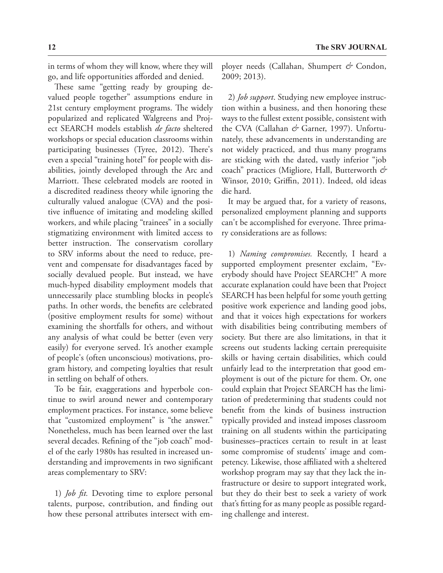in terms of whom they will know, where they will go, and life opportunities afforded and denied.

These same "getting ready by grouping devalued people together" assumptions endure in 21st century employment programs. The widely popularized and replicated Walgreens and Project SEARCH models establish *de facto* sheltered workshops or special education classrooms within participating businesses (Tyree, 2012). There's even a special "training hotel" for people with disabilities, jointly developed through the Arc and Marriott. These celebrated models are rooted in a discredited readiness theory while ignoring the culturally valued analogue (CVA) and the positive influence of imitating and modeling skilled workers, and while placing "trainees" in a socially stigmatizing environment with limited access to better instruction. The conservatism corollary to SRV informs about the need to reduce, prevent and compensate for disadvantages faced by socially devalued people. But instead, we have much-hyped disability employment models that unnecessarily place stumbling blocks in people's paths. In other words, the benefits are celebrated (positive employment results for some) without examining the shortfalls for others, and without any analysis of what could be better (even very easily) for everyone served. It's another example of people's (often unconscious) motivations, program history, and competing loyalties that result in settling on behalf of others.

To be fair, exaggerations and hyperbole continue to swirl around newer and contemporary employment practices. For instance, some believe that "customized employment" is "the answer." Nonetheless, much has been learned over the last several decades. Refining of the "job coach" model of the early 1980s has resulted in increased understanding and improvements in two significant areas complementary to SRV:

1) *Job fit.* Devoting time to explore personal talents, purpose, contribution, and finding out how these personal attributes intersect with employer needs (Callahan, Shumpert *&* Condon, 2009; 2013).

2) *Job support*. Studying new employee instruction within a business, and then honoring these ways to the fullest extent possible, consistent with the CVA (Callahan & Garner, 1997). Unfortunately, these advancements in understanding are not widely practiced, and thus many programs are sticking with the dated, vastly inferior "job coach" practices (Migliore, Hall, Butterworth *&* Winsor, 2010; Griffin, 2011). Indeed, old ideas die hard.

It may be argued that, for a variety of reasons, personalized employment planning and supports can't be accomplished for everyone. Three primary considerations are as follows:

1) *Naming compromises.* Recently, I heard a supported employment presenter exclaim, "Everybody should have Project SEARCH!" A more accurate explanation could have been that Project SEARCH has been helpful for some youth getting positive work experience and landing good jobs, and that it voices high expectations for workers with disabilities being contributing members of society. But there are also limitations, in that it screens out students lacking certain prerequisite skills or having certain disabilities, which could unfairly lead to the interpretation that good employment is out of the picture for them. Or, one could explain that Project SEARCH has the limitation of predetermining that students could not benefit from the kinds of business instruction typically provided and instead imposes classroom training on all students within the participating businesses–practices certain to result in at least some compromise of students' image and competency. Likewise, those affiliated with a sheltered workshop program may say that they lack the infrastructure or desire to support integrated work, but they do their best to seek a variety of work that's fitting for as many people as possible regarding challenge and interest.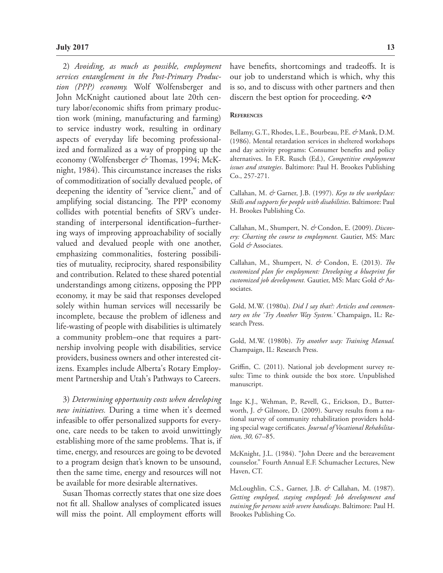2) *Avoiding, as much as possible, employment services entanglement in the Post-Primary Production (PPP) economy.* Wolf Wolfensberger and John McKnight cautioned about late 20th century labor/economic shifts from primary production work (mining, manufacturing and farming) to service industry work, resulting in ordinary aspects of everyday life becoming professionalized and formalized as a way of propping up the economy (Wolfensberger *&* Thomas, 1994; McKnight, 1984). This circumstance increases the risks of commoditization of socially devalued people, of deepening the identity of "service client," and of amplifying social distancing. The PPP economy collides with potential benefits of SRV's understanding of interpersonal identification–furthering ways of improving approachability of socially valued and devalued people with one another, emphasizing commonalities, fostering possibilities of mutuality, reciprocity, shared responsibility and contribution. Related to these shared potential understandings among citizens, opposing the PPP economy, it may be said that responses developed solely within human services will necessarily be incomplete, because the problem of idleness and life-wasting of people with disabilities is ultimately a community problem–one that requires a partnership involving people with disabilities, service providers, business owners and other interested citizens. Examples include Alberta's Rotary Employment Partnership and Utah's Pathways to Careers.

3) *Determining opportunity costs when developing new initiatives.* During a time when it's deemed infeasible to offer personalized supports for everyone, care needs to be taken to avoid unwittingly establishing more of the same problems. That is, if time, energy, and resources are going to be devoted to a program design that's known to be unsound, then the same time, energy and resources will not be available for more desirable alternatives.

Susan Thomas correctly states that one size does not fit all. Shallow analyses of complicated issues will miss the point. All employment efforts will

have benefits, shortcomings and tradeoffs. It is our job to understand which is which, why this is so, and to discuss with other partners and then discern the best option for proceeding.  $\mathcal{P}$ 

#### **References**

Bellamy, G.T., Rhodes, L.E., Bourbeau, P.E. *&* Mank, D.M. (1986). Mental retardation services in sheltered workshops and day activity programs: Consumer benefits and policy alternatives. In F.R. Rusch (Ed.), *Competitive employment issues and strategies*. Baltimore: Paul H. Brookes Publishing Co., 257-271.

Callahan, M. *&* Garner, J.B. (1997). *Keys to the workplace: Skills and supports for people with disabilities*. Baltimore: Paul H. Brookes Publishing Co.

Callahan, M., Shumpert, N. *&* Condon, E. (2009). *Discovery: Charting the course to employment.* Gautier, MS: Marc Gold & Associates.

Callahan, M., Shumpert, N. *&* Condon, E. (2013). *The customized plan for employment: Developing a blueprint for customized job development.* Gautier, MS: Marc Gold *&* Associates.

Gold, M.W. (1980a). *Did I say that?: Articles and commentary on the 'Try Another Way System.'* Champaign, IL: Research Press.

Gold, M.W. (1980b). *Try another way: Training Manual.*  Champaign, IL: Research Press.

Griffin, C. (2011). National job development survey results: Time to think outside the box store. Unpublished manuscript.

Inge K.J., Wehman, P., Revell, G., Erickson, D., Butterworth, J. *&* Gilmore, D. (2009). Survey results from a national survey of community rehabilitation providers holding special wage certificates. *Journal of Vocational Rehabilitation, 30,* 67–85.

McKnight, J.L. (1984). "John Deere and the bereavement counselor." Fourth Annual E.F. Schumacher Lectures, New Haven, CT.

McLoughlin, C.S., Garner, J.B. *&* Callahan, M. (1987). *Getting employed, staying employed: Job development and training for persons with severe handicaps*. Baltimore: Paul H. Brookes Publishing Co.